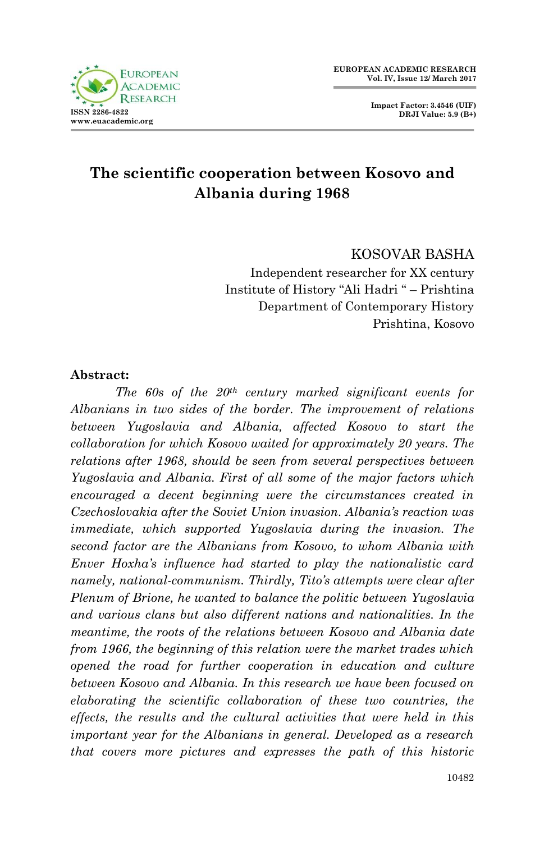



# **The scientific cooperation between Kosovo and Albania during 1968**

 KOSOVAR BASHA Independent researcher for XX century Institute of History "Ali Hadri " – Prishtina Department of Contemporary History Prishtina, Kosovo

#### **Abstract:**

*The 60s of the 20th century marked significant events for Albanians in two sides of the border. The improvement of relations between Yugoslavia and Albania, affected Kosovo to start the collaboration for which Kosovo waited for approximately 20 years. The relations after 1968, should be seen from several perspectives between Yugoslavia and Albania. First of all some of the major factors which encouraged a decent beginning were the circumstances created in Czechoslovakia after the Soviet Union invasion. Albania's reaction was immediate, which supported Yugoslavia during the invasion. The second factor are the Albanians from Kosovo, to whom Albania with Enver Hoxha's influence had started to play the nationalistic card namely, national-communism. Thirdly, Tito's attempts were clear after Plenum of Brione, he wanted to balance the politic between Yugoslavia and various clans but also different nations and nationalities. In the meantime, the roots of the relations between Kosovo and Albania date from 1966, the beginning of this relation were the market trades which opened the road for further cooperation in education and culture between Kosovo and Albania. In this research we have been focused on elaborating the scientific collaboration of these two countries, the effects, the results and the cultural activities that were held in this important year for the Albanians in general. Developed as a research that covers more pictures and expresses the path of this historic*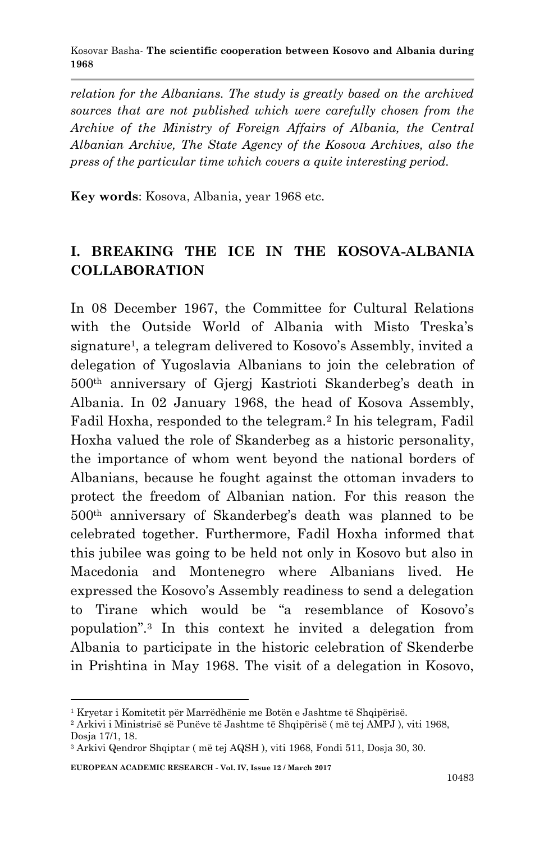*relation for the Albanians. The study is greatly based on the archived sources that are not published which were carefully chosen from the Archive of the Ministry of Foreign Affairs of Albania, the Central Albanian Archive, The State Agency of the Kosova Archives, also the press of the particular time which covers a quite interesting period.*

**Key words**: Kosova, Albania, year 1968 etc.

## **I. BREAKING THE ICE IN THE KOSOVA-ALBANIA COLLABORATION**

In 08 December 1967, the Committee for Cultural Relations with the Outside World of Albania with Misto Treska's signature<sup>1</sup>, a telegram delivered to Kosovo's Assembly, invited a delegation of Yugoslavia Albanians to join the celebration of 500th anniversary of Gjergj Kastrioti Skanderbeg's death in Albania. In 02 January 1968, the head of Kosova Assembly, Fadil Hoxha, responded to the telegram.<sup>2</sup> In his telegram, Fadil Hoxha valued the role of Skanderbeg as a historic personality, the importance of whom went beyond the national borders of Albanians, because he fought against the ottoman invaders to protect the freedom of Albanian nation. For this reason the 500th anniversary of Skanderbeg's death was planned to be celebrated together. Furthermore, Fadil Hoxha informed that this jubilee was going to be held not only in Kosovo but also in Macedonia and Montenegro where Albanians lived. He expressed the Kosovo's Assembly readiness to send a delegation to Tirane which would be "a resemblance of Kosovo's population".<sup>3</sup> In this context he invited a delegation from Albania to participate in the historic celebration of Skenderbe in Prishtina in May 1968. The visit of a delegation in Kosovo,

<sup>1</sup> Kryetar i Komitetit për Marrëdhënie me Botën e Jashtme të Shqipërisë.

<sup>2</sup> Arkivi i Ministrisë së Punëve të Jashtme të Shqipërisë ( më tej AMPJ ), viti 1968, Dosja 17/1, 18.

<sup>3</sup> Arkivi Qendror Shqiptar ( më tej AQSH ), viti 1968, Fondi 511, Dosja 30, 30.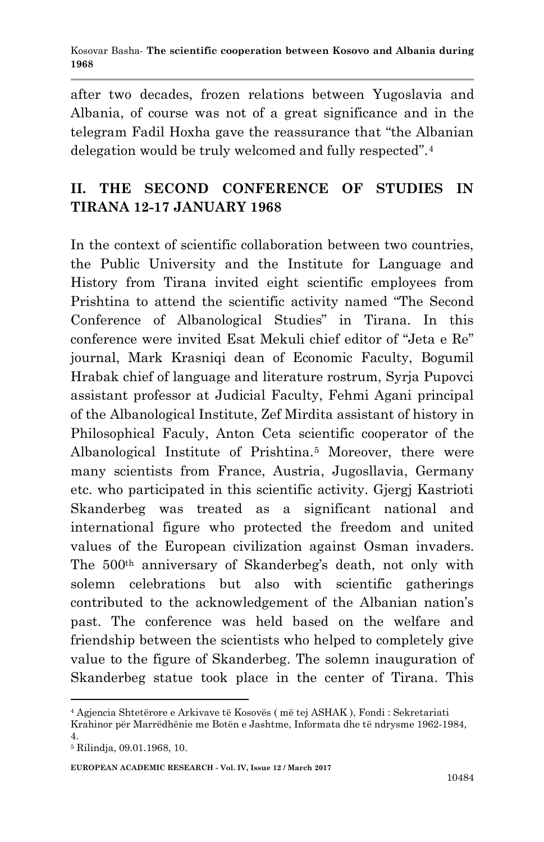after two decades, frozen relations between Yugoslavia and Albania, of course was not of a great significance and in the telegram Fadil Hoxha gave the reassurance that "the Albanian delegation would be truly welcomed and fully respected".<sup>4</sup>

## **II. THE SECOND CONFERENCE OF STUDIES IN TIRANA 12-17 JANUARY 1968**

In the context of scientific collaboration between two countries, the Public University and the Institute for Language and History from Tirana invited eight scientific employees from Prishtina to attend the scientific activity named "The Second Conference of Albanological Studies" in Tirana. In this conference were invited Esat Mekuli chief editor of "Jeta e Re" journal, Mark Krasniqi dean of Economic Faculty, Bogumil Hrabak chief of language and literature rostrum, Syrja Pupovci assistant professor at Judicial Faculty, Fehmi Agani principal of the Albanological Institute, Zef Mirdita assistant of history in Philosophical Faculy, Anton Ceta scientific cooperator of the Albanological Institute of Prishtina.<sup>5</sup> Moreover, there were many scientists from France, Austria, Jugosllavia, Germany etc. who participated in this scientific activity. Gjergj Kastrioti Skanderbeg was treated as a significant national and international figure who protected the freedom and united values of the European civilization against Osman invaders. The 500th anniversary of Skanderbeg's death, not only with solemn celebrations but also with scientific gatherings contributed to the acknowledgement of the Albanian nation's past. The conference was held based on the welfare and friendship between the scientists who helped to completely give value to the figure of Skanderbeg. The solemn inauguration of Skanderbeg statue took place in the center of Tirana. This

<sup>1</sup> <sup>4</sup> Agjencia Shtetërore e Arkivave të Kosovës ( më tej ASHAK ), Fondi : Sekretariati

Krahinor për Marrëdhënie me Botën e Jashtme, Informata dhe të ndrysme 1962-1984, 4.

<sup>5</sup> Rilindja, 09.01.1968, 10.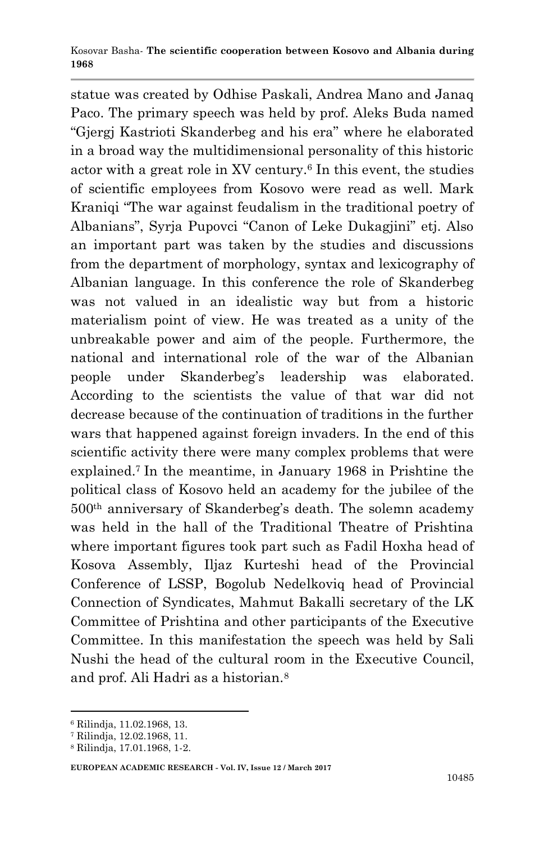statue was created by Odhise Paskali, Andrea Mano and Janaq Paco. The primary speech was held by prof. Aleks Buda named "Gjergj Kastrioti Skanderbeg and his era" where he elaborated in a broad way the multidimensional personality of this historic actor with a great role in XV century.<sup>6</sup> In this event, the studies of scientific employees from Kosovo were read as well. Mark Kraniqi "The war against feudalism in the traditional poetry of Albanians", Syrja Pupovci "Canon of Leke Dukagjini" etj. Also an important part was taken by the studies and discussions from the department of morphology, syntax and lexicography of Albanian language. In this conference the role of Skanderbeg was not valued in an idealistic way but from a historic materialism point of view. He was treated as a unity of the unbreakable power and aim of the people. Furthermore, the national and international role of the war of the Albanian people under Skanderbeg's leadership was elaborated. According to the scientists the value of that war did not decrease because of the continuation of traditions in the further wars that happened against foreign invaders. In the end of this scientific activity there were many complex problems that were explained.<sup>7</sup> In the meantime, in January 1968 in Prishtine the political class of Kosovo held an academy for the jubilee of the 500th anniversary of Skanderbeg's death. The solemn academy was held in the hall of the Traditional Theatre of Prishtina where important figures took part such as Fadil Hoxha head of Kosova Assembly, Iljaz Kurteshi head of the Provincial Conference of LSSP, Bogolub Nedelkoviq head of Provincial Connection of Syndicates, Mahmut Bakalli secretary of the LK Committee of Prishtina and other participants of the Executive Committee. In this manifestation the speech was held by Sali Nushi the head of the cultural room in the Executive Council, and prof. Ali Hadri as a historian.<sup>8</sup>

1

**EUROPEAN ACADEMIC RESEARCH - Vol. IV, Issue 12 / March 2017**

<sup>6</sup> Rilindja, 11.02.1968, 13.

<sup>7</sup> Rilindja, 12.02.1968, 11.

<sup>8</sup> Rilindja, 17.01.1968, 1-2.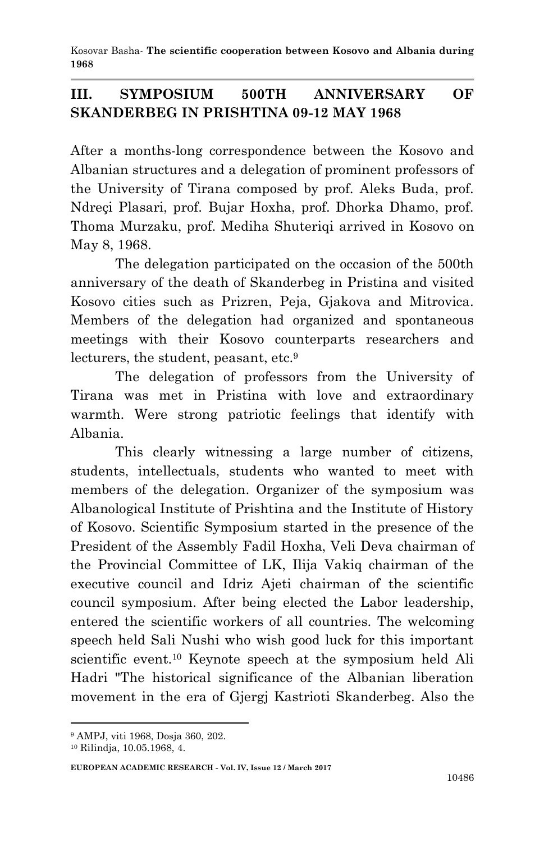Kosovar Basha*-* **The scientific cooperation between Kosovo and Albania during 1968**

### **III. SYMPOSIUM 500TH ANNIVERSARY OF SKANDERBEG IN PRISHTINA 09-12 MAY 1968**

After a months-long correspondence between the Kosovo and Albanian structures and a delegation of prominent professors of the University of Tirana composed by prof. Aleks Buda, prof. Ndreçi Plasari, prof. Bujar Hoxha, prof. Dhorka Dhamo, prof. Thoma Murzaku, prof. Mediha Shuteriqi arrived in Kosovo on May 8, 1968.

The delegation participated on the occasion of the 500th anniversary of the death of Skanderbeg in Pristina and visited Kosovo cities such as Prizren, Peja, Gjakova and Mitrovica. Members of the delegation had organized and spontaneous meetings with their Kosovo counterparts researchers and lecturers, the student, peasant, etc.<sup>9</sup>

The delegation of professors from the University of Tirana was met in Pristina with love and extraordinary warmth. Were strong patriotic feelings that identify with Albania.

This clearly witnessing a large number of citizens, students, intellectuals, students who wanted to meet with members of the delegation. Organizer of the symposium was Albanological Institute of Prishtina and the Institute of History of Kosovo. Scientific Symposium started in the presence of the President of the Assembly Fadil Hoxha, Veli Deva chairman of the Provincial Committee of LK, Ilija Vakiq chairman of the executive council and Idriz Ajeti chairman of the scientific council symposium. After being elected the Labor leadership, entered the scientific workers of all countries. The welcoming speech held Sali Nushi who wish good luck for this important scientific event.<sup>10</sup> Keynote speech at the symposium held Ali Hadri "The historical significance of the Albanian liberation movement in the era of Gjergj Kastrioti Skanderbeg. Also the

<sup>9</sup> AMPJ, viti 1968, Dosja 360, 202.

<sup>10</sup> Rilindja, 10.05.1968, 4.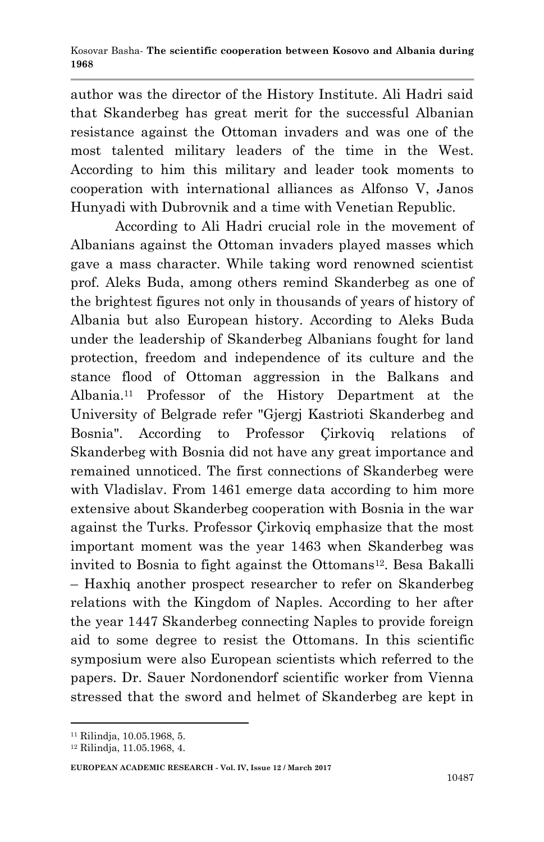author was the director of the History Institute. Ali Hadri said that Skanderbeg has great merit for the successful Albanian resistance against the Ottoman invaders and was one of the most talented military leaders of the time in the West. According to him this military and leader took moments to cooperation with international alliances as Alfonso V, Janos Hunyadi with Dubrovnik and a time with Venetian Republic.

According to Ali Hadri crucial role in the movement of Albanians against the Ottoman invaders played masses which gave a mass character. While taking word renowned scientist prof. Aleks Buda, among others remind Skanderbeg as one of the brightest figures not only in thousands of years of history of Albania but also European history. According to Aleks Buda under the leadership of Skanderbeg Albanians fought for land protection, freedom and independence of its culture and the stance flood of Ottoman aggression in the Balkans and Albania.<sup>11</sup> Professor of the History Department at the University of Belgrade refer "Gjergj Kastrioti Skanderbeg and Bosnia". According to Professor Çirkoviq relations of Skanderbeg with Bosnia did not have any great importance and remained unnoticed. The first connections of Skanderbeg were with Vladislav. From 1461 emerge data according to him more extensive about Skanderbeg cooperation with Bosnia in the war against the Turks. Professor Çirkoviq emphasize that the most important moment was the year 1463 when Skanderbeg was invited to Bosnia to fight against the Ottomans<sup>12</sup>. Besa Bakalli – Haxhiq another prospect researcher to refer on Skanderbeg relations with the Kingdom of Naples. According to her after the year 1447 Skanderbeg connecting Naples to provide foreign aid to some degree to resist the Ottomans. In this scientific symposium were also European scientists which referred to the papers. Dr. Sauer Nordonendorf scientific worker from Vienna stressed that the sword and helmet of Skanderbeg are kept in

<sup>11</sup> Rilindja, 10.05.1968, 5.

<sup>12</sup> Rilindja, 11.05.1968, 4.

**EUROPEAN ACADEMIC RESEARCH - Vol. IV, Issue 12 / March 2017**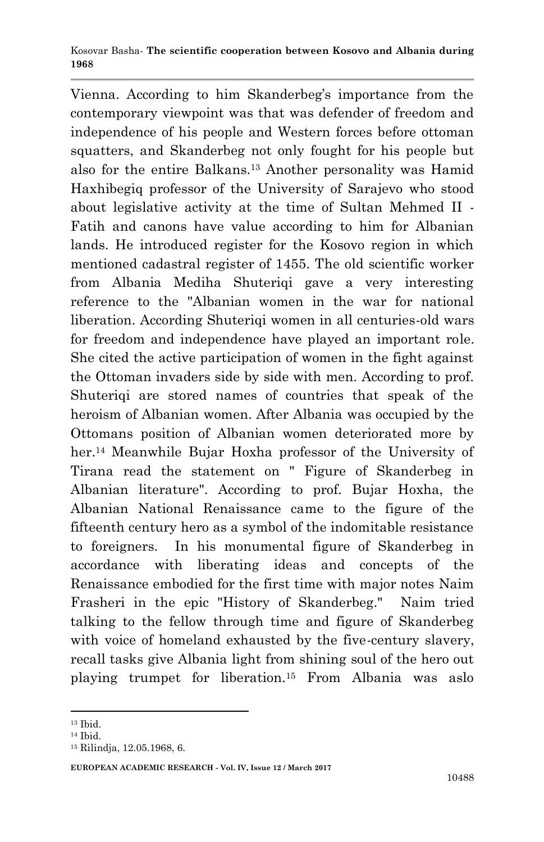Vienna. According to him Skanderbeg's importance from the contemporary viewpoint was that was defender of freedom and independence of his people and Western forces before ottoman squatters, and Skanderbeg not only fought for his people but also for the entire Balkans.<sup>13</sup> Another personality was Hamid Haxhibegiq professor of the University of Sarajevo who stood about legislative activity at the time of Sultan Mehmed II - Fatih and canons have value according to him for Albanian lands. He introduced register for the Kosovo region in which mentioned cadastral register of 1455. The old scientific worker from Albania Mediha Shuteriqi gave a very interesting reference to the "Albanian women in the war for national liberation. According Shuteriqi women in all centuries-old wars for freedom and independence have played an important role. She cited the active participation of women in the fight against the Ottoman invaders side by side with men. According to prof. Shuteriqi are stored names of countries that speak of the heroism of Albanian women. After Albania was occupied by the Ottomans position of Albanian women deteriorated more by her.<sup>14</sup> Meanwhile Bujar Hoxha professor of the University of Tirana read the statement on " Figure of Skanderbeg in Albanian literature". According to prof. Bujar Hoxha, the Albanian National Renaissance came to the figure of the fifteenth century hero as a symbol of the indomitable resistance to foreigners. In his monumental figure of Skanderbeg in accordance with liberating ideas and concepts of the Renaissance embodied for the first time with major notes Naim Frasheri in the epic "History of Skanderbeg." Naim tried talking to the fellow through time and figure of Skanderbeg with voice of homeland exhausted by the five-century slavery, recall tasks give Albania light from shining soul of the hero out playing trumpet for liberation.<sup>15</sup> From Albania was aslo

<sup>13</sup> Ibid.

<sup>14</sup> Ibid.

<sup>15</sup> Rilindja, 12.05.1968, 6.

**EUROPEAN ACADEMIC RESEARCH - Vol. IV, Issue 12 / March 2017**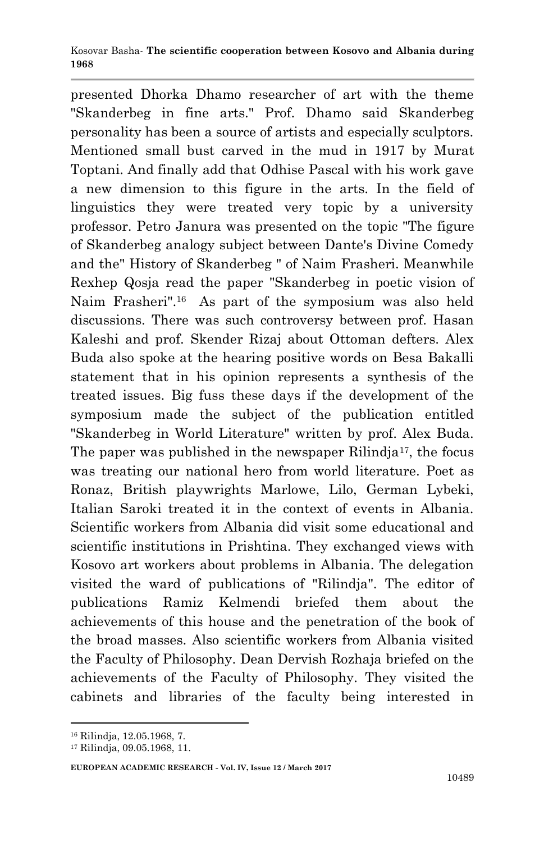presented Dhorka Dhamo researcher of art with the theme "Skanderbeg in fine arts." Prof. Dhamo said Skanderbeg personality has been a source of artists and especially sculptors. Mentioned small bust carved in the mud in 1917 by Murat Toptani. And finally add that Odhise Pascal with his work gave a new dimension to this figure in the arts. In the field of linguistics they were treated very topic by a university professor. Petro Janura was presented on the topic "The figure of Skanderbeg analogy subject between Dante's Divine Comedy and the" History of Skanderbeg " of Naim Frasheri. Meanwhile Rexhep Qosja read the paper "Skanderbeg in poetic vision of Naim Frasheri".<sup>16</sup> As part of the symposium was also held discussions. There was such controversy between prof. Hasan Kaleshi and prof. Skender Rizaj about Ottoman defters. Alex Buda also spoke at the hearing positive words on Besa Bakalli statement that in his opinion represents a synthesis of the treated issues. Big fuss these days if the development of the symposium made the subject of the publication entitled "Skanderbeg in World Literature" written by prof. Alex Buda. The paper was published in the newspaper Rilindja<sup>17</sup>, the focus was treating our national hero from world literature. Poet as Ronaz, British playwrights Marlowe, Lilo, German Lybeki, Italian Saroki treated it in the context of events in Albania. Scientific workers from Albania did visit some educational and scientific institutions in Prishtina. They exchanged views with Kosovo art workers about problems in Albania. The delegation visited the ward of publications of "Rilindja". The editor of publications Ramiz Kelmendi briefed them about the achievements of this house and the penetration of the book of the broad masses. Also scientific workers from Albania visited the Faculty of Philosophy. Dean Dervish Rozhaja briefed on the achievements of the Faculty of Philosophy. They visited the cabinets and libraries of the faculty being interested in

<sup>16</sup> Rilindja, 12.05.1968, 7.

<sup>17</sup> Rilindja, 09.05.1968, 11.

**EUROPEAN ACADEMIC RESEARCH - Vol. IV, Issue 12 / March 2017**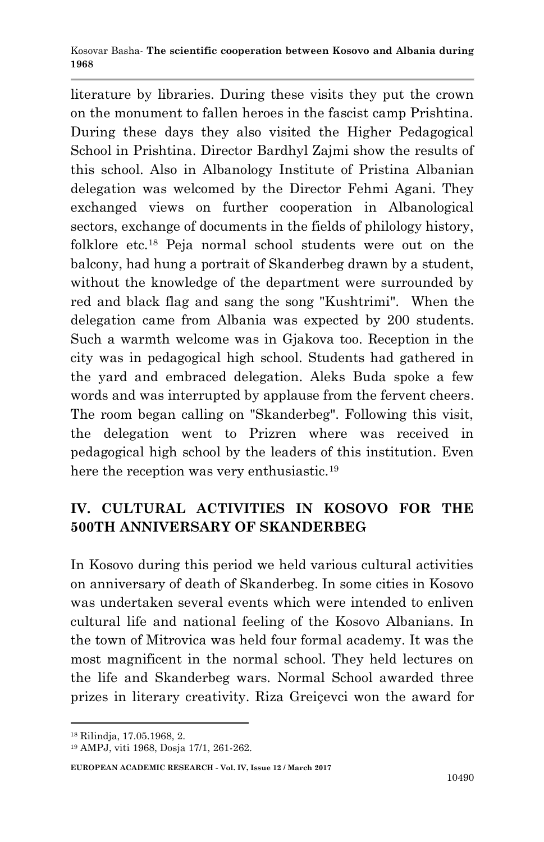literature by libraries. During these visits they put the crown on the monument to fallen heroes in the fascist camp Prishtina. During these days they also visited the Higher Pedagogical School in Prishtina. Director Bardhyl Zajmi show the results of this school. Also in Albanology Institute of Pristina Albanian delegation was welcomed by the Director Fehmi Agani. They exchanged views on further cooperation in Albanological sectors, exchange of documents in the fields of philology history, folklore etc.<sup>18</sup> Peja normal school students were out on the balcony, had hung a portrait of Skanderbeg drawn by a student, without the knowledge of the department were surrounded by red and black flag and sang the song "Kushtrimi". When the delegation came from Albania was expected by 200 students. Such a warmth welcome was in Gjakova too. Reception in the city was in pedagogical high school. Students had gathered in the yard and embraced delegation. Aleks Buda spoke a few words and was interrupted by applause from the fervent cheers. The room began calling on "Skanderbeg". Following this visit, the delegation went to Prizren where was received in pedagogical high school by the leaders of this institution. Even here the reception was very enthusiastic.<sup>19</sup>

## **IV. CULTURAL ACTIVITIES IN KOSOVO FOR THE 500TH ANNIVERSARY OF SKANDERBEG**

In Kosovo during this period we held various cultural activities on anniversary of death of Skanderbeg. In some cities in Kosovo was undertaken several events which were intended to enliven cultural life and national feeling of the Kosovo Albanians. In the town of Mitrovica was held four formal academy. It was the most magnificent in the normal school. They held lectures on the life and Skanderbeg wars. Normal School awarded three prizes in literary creativity. Riza Greiçevci won the award for

1

#### **EUROPEAN ACADEMIC RESEARCH - Vol. IV, Issue 12 / March 2017**

<sup>18</sup> Rilindja, 17.05.1968, 2.

<sup>19</sup> AMPJ, viti 1968, Dosja 17/1, 261-262.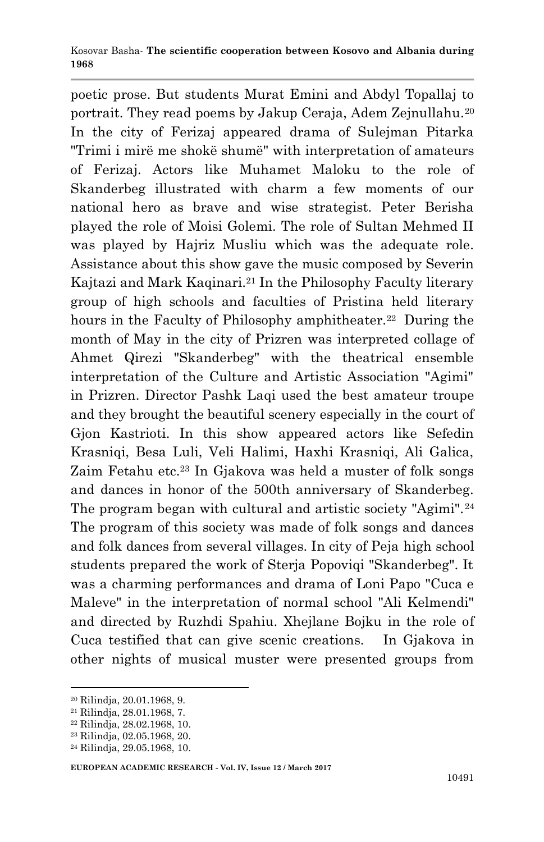poetic prose. But students Murat Emini and Abdyl Topallaj to portrait. They read poems by Jakup Ceraja, Adem Zejnullahu.<sup>20</sup> In the city of Ferizaj appeared drama of Sulejman Pitarka "Trimi i mirë me shokë shumë" with interpretation of amateurs of Ferizaj. Actors like Muhamet Maloku to the role of Skanderbeg illustrated with charm a few moments of our national hero as brave and wise strategist. Peter Berisha played the role of Moisi Golemi. The role of Sultan Mehmed II was played by Hajriz Musliu which was the adequate role. Assistance about this show gave the music composed by Severin Kajtazi and Mark Kaqinari.<sup>21</sup> In the Philosophy Faculty literary group of high schools and faculties of Pristina held literary hours in the Faculty of Philosophy amphitheater.<sup>22</sup> During the month of May in the city of Prizren was interpreted collage of Ahmet Qirezi "Skanderbeg" with the theatrical ensemble interpretation of the Culture and Artistic Association "Agimi" in Prizren. Director Pashk Laqi used the best amateur troupe and they brought the beautiful scenery especially in the court of Gjon Kastrioti. In this show appeared actors like Sefedin Krasniqi, Besa Luli, Veli Halimi, Haxhi Krasniqi, Ali Galica, Zaim Fetahu etc.<sup>23</sup> In Gjakova was held a muster of folk songs and dances in honor of the 500th anniversary of Skanderbeg. The program began with cultural and artistic society "Agimi".<sup>24</sup> The program of this society was made of folk songs and dances and folk dances from several villages. In city of Peja high school students prepared the work of Sterja Popoviqi "Skanderbeg". It was a charming performances and drama of Loni Papo "Cuca e Maleve" in the interpretation of normal school "Ali Kelmendi" and directed by Ruzhdi Spahiu. Xhejlane Bojku in the role of Cuca testified that can give scenic creations. In Gjakova in other nights of musical muster were presented groups from

<sup>20</sup> Rilindja, 20.01.1968, 9.

<sup>21</sup> Rilindja, 28.01.1968, 7.

<sup>22</sup> Rilindja, 28.02.1968, 10.

<sup>23</sup> Rilindja, 02.05.1968, 20.

<sup>24</sup> Rilindja, 29.05.1968, 10.